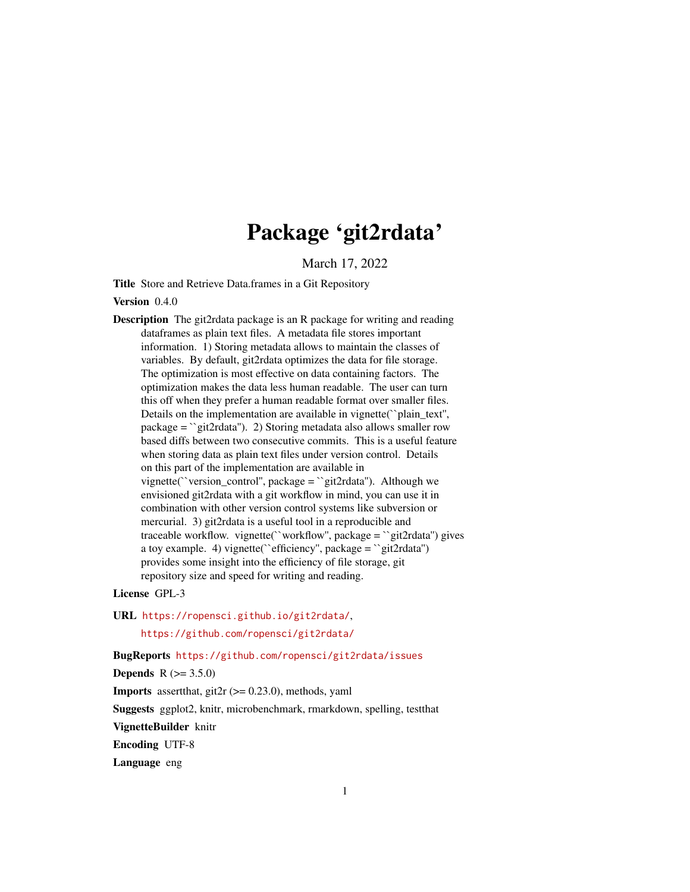# Package 'git2rdata'

March 17, 2022

Title Store and Retrieve Data.frames in a Git Repository

Version 0.4.0

Description The git2rdata package is an R package for writing and reading dataframes as plain text files. A metadata file stores important information. 1) Storing metadata allows to maintain the classes of variables. By default, git2rdata optimizes the data for file storage. The optimization is most effective on data containing factors. The optimization makes the data less human readable. The user can turn this off when they prefer a human readable format over smaller files. Details on the implementation are available in vignette(``plain\_text'', package = ``git2rdata''). 2) Storing metadata also allows smaller row based diffs between two consecutive commits. This is a useful feature when storing data as plain text files under version control. Details on this part of the implementation are available in vignette(``version\_control'', package = ``git2rdata''). Although we envisioned git2rdata with a git workflow in mind, you can use it in combination with other version control systems like subversion or mercurial. 3) git2rdata is a useful tool in a reproducible and traceable workflow. vignette(``workflow'', package = ``git2rdata'') gives a toy example. 4) vignette("efficiency", package = "git2rdata") provides some insight into the efficiency of file storage, git repository size and speed for writing and reading.

License GPL-3

URL <https://ropensci.github.io/git2rdata/>, <https://github.com/ropensci/git2rdata/>

BugReports <https://github.com/ropensci/git2rdata/issues>

**Depends** R  $(>= 3.5.0)$ 

**Imports** assert that, git  $2r$  ( $> = 0.23.0$ ), methods, yaml

Suggests ggplot2, knitr, microbenchmark, rmarkdown, spelling, testthat

VignetteBuilder knitr

Encoding UTF-8

Language eng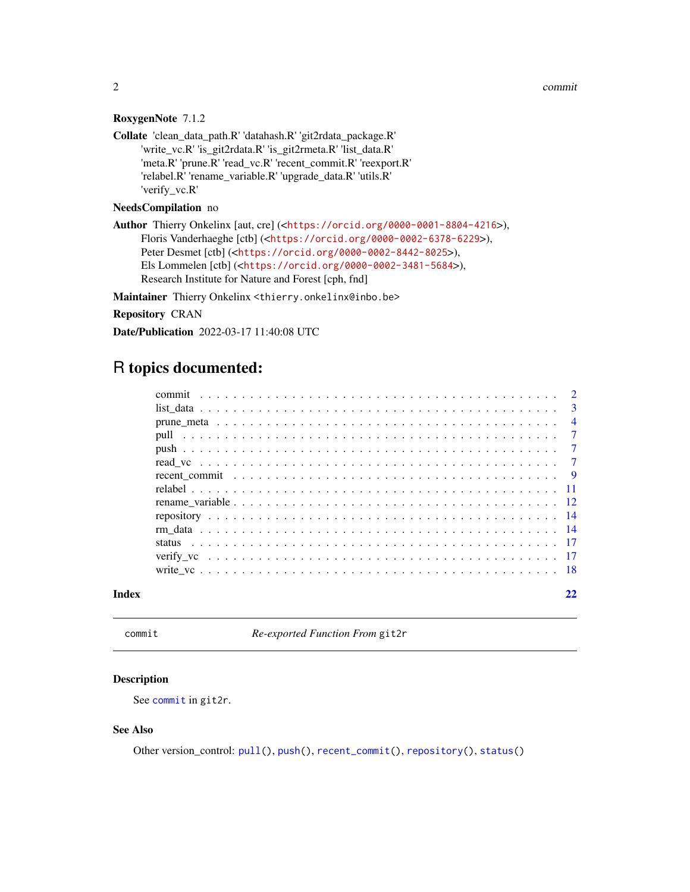<span id="page-1-0"></span>2 commit control of the committee of the committee of the committee of the committee of the committee of the committee of the committee of the committee of the committee of the committee of the committee of the committee o

#### RoxygenNote 7.1.2

Collate 'clean\_data\_path.R' 'datahash.R' 'git2rdata\_package.R' 'write\_vc.R' 'is\_git2rdata.R' 'is\_git2rmeta.R' 'list\_data.R' 'meta.R' 'prune.R' 'read\_vc.R' 'recent\_commit.R' 'reexport.R' 'relabel.R' 'rename\_variable.R' 'upgrade\_data.R' 'utils.R' 'verify\_vc.R'

#### NeedsCompilation no

Author Thierry Onkelinx [aut, cre] (<<https://orcid.org/0000-0001-8804-4216>>), Floris Vanderhaeghe [ctb] (<<https://orcid.org/0000-0002-6378-6229>>), Peter Desmet [ctb] (<<https://orcid.org/0000-0002-8442-8025>>), Els Lommelen [ctb] (<<https://orcid.org/0000-0002-3481-5684>>), Research Institute for Nature and Forest [cph, fnd]

Maintainer Thierry Onkelinx <thierry.onkelinx@inbo.be>

Repository CRAN

Date/Publication 2022-03-17 11:40:08 UTC

## R topics documented:

<span id="page-1-1"></span>commit *Re-exported Function From* git2r

#### Description

See [commit](#page-1-1) in git2r.

#### See Also

Other version\_control: [pull\(](#page-6-1)), [push\(](#page-6-2)), [recent\\_commit\(](#page-8-1)), [repository\(](#page-13-1)), [status\(](#page-16-1))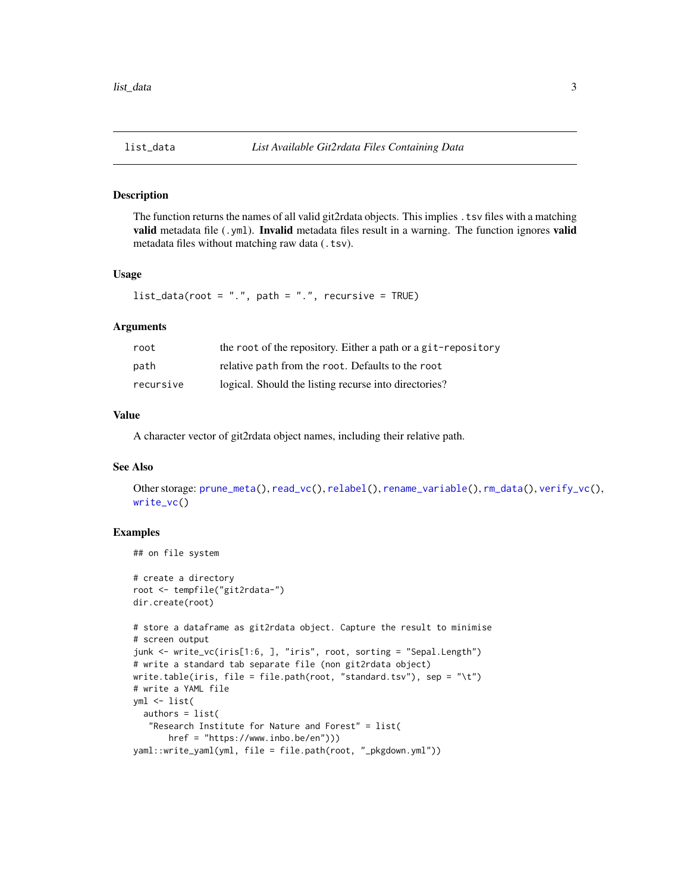<span id="page-2-1"></span><span id="page-2-0"></span>

The function returns the names of all valid git2rdata objects. This implies .tsv files with a matching valid metadata file (.yml). Invalid metadata files result in a warning. The function ignores valid metadata files without matching raw data (.tsv).

#### Usage

 $list_data(root = "."$ ,  $path = "."$ ,  $recursively = TRUE)$ 

#### Arguments

| root      | the root of the repository. Either a path or a git-repository |
|-----------|---------------------------------------------------------------|
| path      | relative path from the root. Defaults to the root             |
| recursive | logical. Should the listing recurse into directories?         |

#### Value

A character vector of git2rdata object names, including their relative path.

#### See Also

```
Other storage: prune_meta(), read_vc(), relabel(), rename_variable(), rm_data(), verify_vc(),
write_vc()
```

```
## on file system
```

```
# create a directory
root <- tempfile("git2rdata-")
dir.create(root)
# store a dataframe as git2rdata object. Capture the result to minimise
# screen output
junk <- write_vc(iris[1:6, ], "iris", root, sorting = "Sepal.Length")
# write a standard tab separate file (non git2rdata object)
write.table(iris, file = file.path(root, "standard.tsv"), sep = "\t")
# write a YAML file
yml <- list(
  authors = list(
   "Research Institute for Nature and Forest" = list(
      href = "https://www.inbo.be/en")))
yaml::write_yaml(yml, file = file.path(root, "_pkgdown.yml"))
```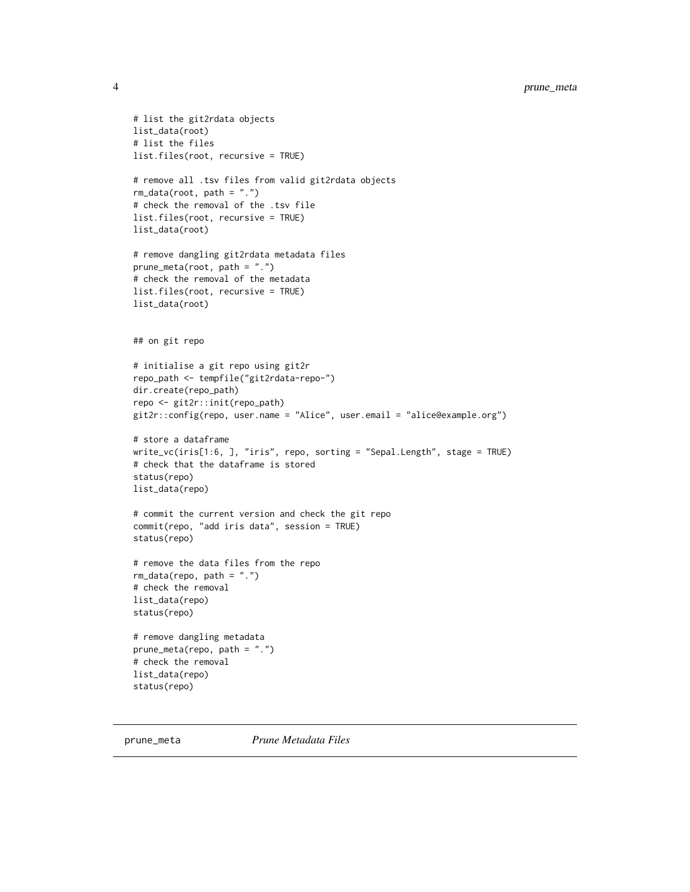```
# list the git2rdata objects
list_data(root)
# list the files
list.files(root, recursive = TRUE)
# remove all .tsv files from valid git2rdata objects
rm\_data(root, path = "."')# check the removal of the .tsv file
list.files(root, recursive = TRUE)
list_data(root)
# remove dangling git2rdata metadata files
prune_meta(root, path = ".")
# check the removal of the metadata
list.files(root, recursive = TRUE)
list_data(root)
## on git repo
# initialise a git repo using git2r
repo_path <- tempfile("git2rdata-repo-")
dir.create(repo_path)
repo <- git2r::init(repo_path)
git2r::config(repo, user.name = "Alice", user.email = "alice@example.org")
# store a dataframe
write_vc(iris[1:6, ], "iris", repo, sorting = "Sepal.Length", stage = TRUE)
# check that the dataframe is stored
status(repo)
list_data(repo)
# commit the current version and check the git repo
commit(repo, "add iris data", session = TRUE)
status(repo)
# remove the data files from the repo
rm_data(repo, path = ".")
# check the removal
list_data(repo)
status(repo)
# remove dangling metadata
prune_meta(repo, path = ".")
# check the removal
list_data(repo)
status(repo)
```
<span id="page-3-1"></span>prune\_meta *Prune Metadata Files*

<span id="page-3-0"></span>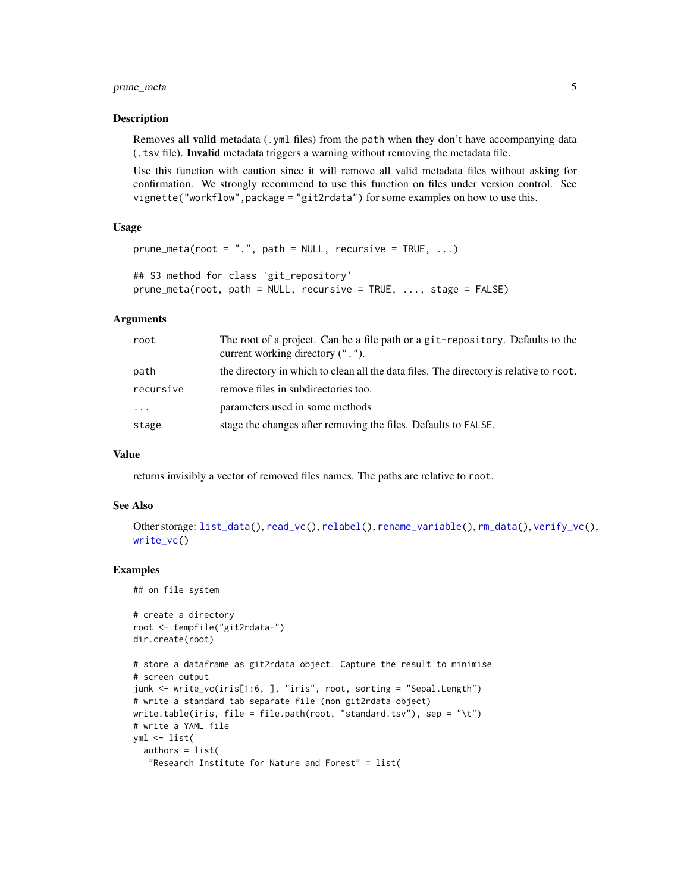#### <span id="page-4-0"></span>prune\_meta 5

#### Description

Removes all **valid** metadata (.yml files) from the path when they don't have accompanying data (.tsv file). Invalid metadata triggers a warning without removing the metadata file.

Use this function with caution since it will remove all valid metadata files without asking for confirmation. We strongly recommend to use this function on files under version control. See vignette("workflow",package = "git2rdata") for some examples on how to use this.

#### Usage

```
prune_meta(root = ".", path = NULL, recursive = TRUE, \ldots)
## S3 method for class 'git_repository'
```

```
prune_meta(root, path = NULL, recursive = TRUE, ..., stage = FALSE)
```
#### Arguments

| root      | The root of a project. Can be a file path or a git-repository. Defaults to the<br>current working directory (", "). |
|-----------|---------------------------------------------------------------------------------------------------------------------|
| path      | the directory in which to clean all the data files. The directory is relative to root.                              |
| recursive | remove files in subdirectories too.                                                                                 |
| $\cdots$  | parameters used in some methods                                                                                     |
| stage     | stage the changes after removing the files. Defaults to FALSE.                                                      |

#### Value

returns invisibly a vector of removed files names. The paths are relative to root.

#### See Also

```
Other storage: list_data(), read_vc(), relabel(), rename_variable(), rm_data(), verify_vc(),
write_vc()
```

```
## on file system
```

```
# create a directory
root <- tempfile("git2rdata-")
dir.create(root)
```

```
# store a dataframe as git2rdata object. Capture the result to minimise
# screen output
junk <- write_vc(iris[1:6, ], "iris", root, sorting = "Sepal.Length")
# write a standard tab separate file (non git2rdata object)
write.table(iris, file = file.path(root, "standard.tsv"), sep = "\t")
# write a YAML file
yml <- list(
  authors = list(
   "Research Institute for Nature and Forest" = list(
```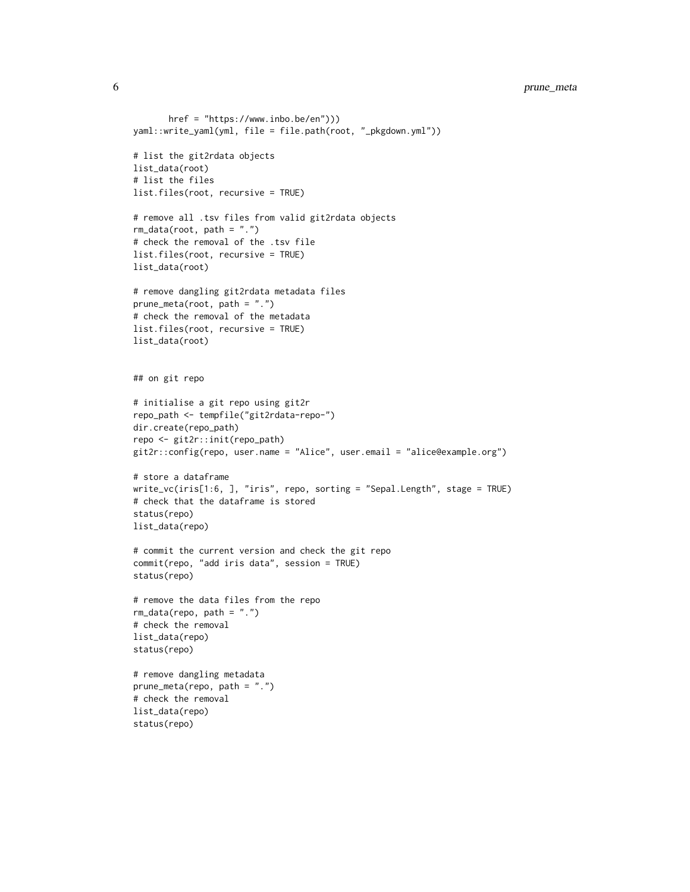```
href = "https://www.inbo.be/en")))
yaml::write_yaml(yml, file = file.path(root, "_pkgdown.yml"))
# list the git2rdata objects
list_data(root)
# list the files
list.files(root, recursive = TRUE)
# remove all .tsv files from valid git2rdata objects
rm\_data(root, path = "."')# check the removal of the .tsv file
list.files(root, recursive = TRUE)
list_data(root)
# remove dangling git2rdata metadata files
prune_meta(root, path = ".")
# check the removal of the metadata
list.files(root, recursive = TRUE)
list_data(root)
## on git repo
# initialise a git repo using git2r
repo_path <- tempfile("git2rdata-repo-")
dir.create(repo_path)
repo <- git2r::init(repo_path)
git2r::config(repo, user.name = "Alice", user.email = "alice@example.org")
# store a dataframe
write_vc(iris[1:6, ], "iris", repo, sorting = "Sepal.Length", stage = TRUE)
# check that the dataframe is stored
status(repo)
list_data(repo)
# commit the current version and check the git repo
commit(repo, "add iris data", session = TRUE)
status(repo)
# remove the data files from the repo
rm_data(repo, path = ".")
# check the removal
list_data(repo)
status(repo)
# remove dangling metadata
prune_meta(repo, path = ".")
# check the removal
list_data(repo)
```
status(repo)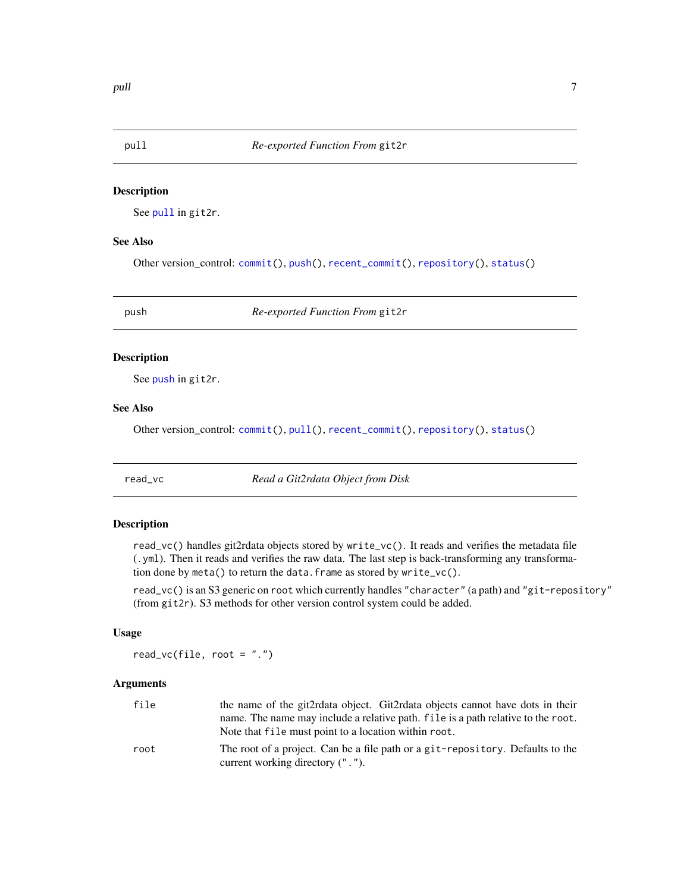<span id="page-6-1"></span><span id="page-6-0"></span>

See [pull](#page-6-1) in git2r.

#### See Also

Other version\_control: [commit\(](#page-1-1)), [push\(](#page-6-2)), [recent\\_commit\(](#page-8-1)), [repository\(](#page-13-1)), [status\(](#page-16-1))

<span id="page-6-2"></span>

push *Re-exported Function From* git2r

#### Description

See [push](#page-6-2) in git2r.

#### See Also

Other version\_control: [commit\(](#page-1-1)), [pull\(](#page-6-1)), [recent\\_commit\(](#page-8-1)), [repository\(](#page-13-1)), [status\(](#page-16-1))

<span id="page-6-3"></span>read\_vc *Read a Git2rdata Object from Disk*

#### Description

read\_vc() handles git2rdata objects stored by write\_vc(). It reads and verifies the metadata file (.yml). Then it reads and verifies the raw data. The last step is back-transforming any transformation done by meta() to return the data.frame as stored by write\_vc().

read\_vc() is an S3 generic on root which currently handles "character" (a path) and "git-repository" (from git2r). S3 methods for other version control system could be added.

#### Usage

read\_vc(file, root = ".")

#### Arguments

| file | the name of the git2rdata object. Git2rdata objects cannot have dots in their    |
|------|----------------------------------------------------------------------------------|
|      | name. The name may include a relative path. file is a path relative to the root. |
|      | Note that file must point to a location within root.                             |
| root | The root of a project. Can be a file path or a git-repository. Defaults to the   |
|      | current working directory (".").                                                 |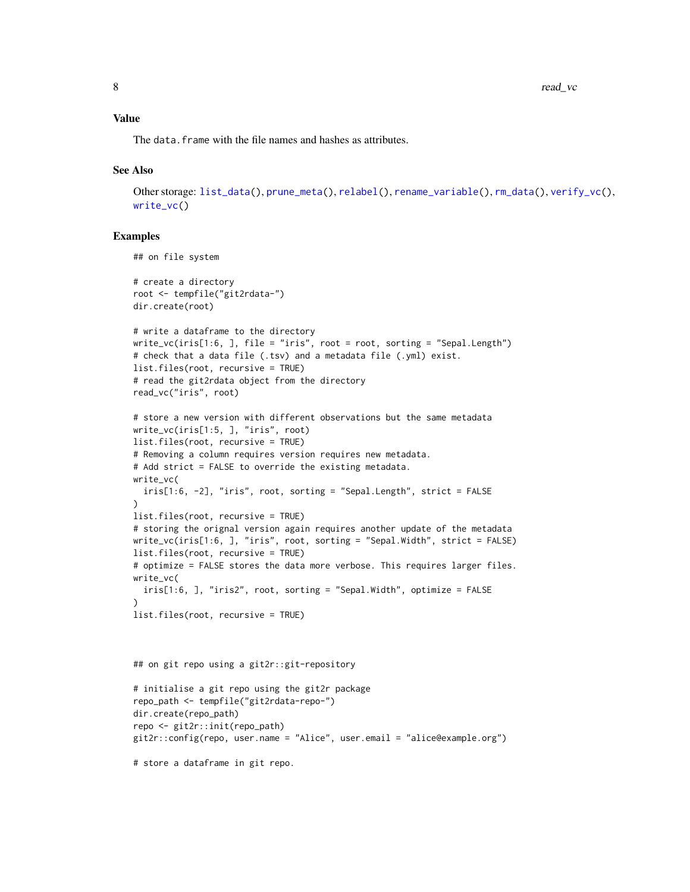#### <span id="page-7-0"></span>Value

The data. frame with the file names and hashes as attributes.

#### See Also

```
Other storage: list_data(), prune_meta(), relabel(), rename_variable(), rm_data(), verify_vc(),
write_vc()
```
#### Examples

```
## on file system
# create a directory
root <- tempfile("git2rdata-")
dir.create(root)
# write a dataframe to the directory
write_vc(iris[1:6, ], file = "iris", root = root, sorting = "Sepal.Length")
# check that a data file (.tsv) and a metadata file (.yml) exist.
list.files(root, recursive = TRUE)
# read the git2rdata object from the directory
read_vc("iris", root)
# store a new version with different observations but the same metadata
write_vc(iris[1:5, ], "iris", root)
list.files(root, recursive = TRUE)
# Removing a column requires version requires new metadata.
# Add strict = FALSE to override the existing metadata.
write_vc(
  iris[1:6, -2], "iris", root, sorting = "Sepal.Length", strict = FALSE
\lambdalist.files(root, recursive = TRUE)
# storing the orignal version again requires another update of the metadata
write_vc(iris[1:6, ], "iris", root, sorting = "Sepal.Width", strict = FALSE)
list.files(root, recursive = TRUE)
# optimize = FALSE stores the data more verbose. This requires larger files.
write_vc(
  iris[1:6, ], "iris2", root, sorting = "Sepal.Width", optimize = FALSE
)
list.files(root, recursive = TRUE)
## on git repo using a git2r::git-repository
```

```
# initialise a git repo using the git2r package
repo_path <- tempfile("git2rdata-repo-")
dir.create(repo_path)
repo <- git2r::init(repo_path)
git2r::config(repo, user.name = "Alice", user.email = "alice@example.org")
```
# store a dataframe in git repo.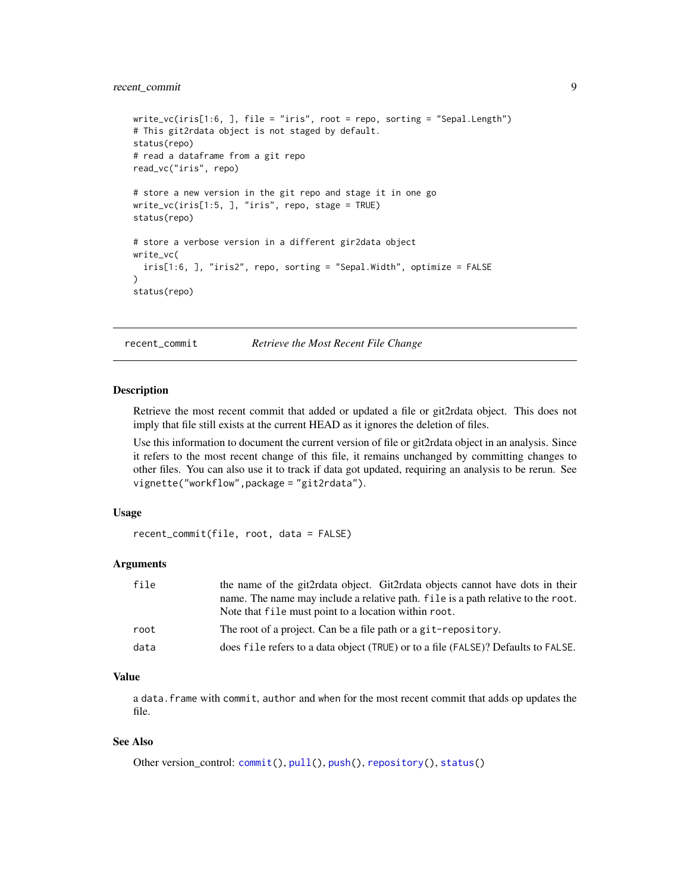#### <span id="page-8-0"></span>recent\_commit 9

```
write_vc(iris[1:6, ], file = "iris", root = repo, sorting = "Sepal.Length")
# This git2rdata object is not staged by default.
status(repo)
# read a dataframe from a git repo
read_vc("iris", repo)
# store a new version in the git repo and stage it in one go
write_vc(iris[1:5, ], "iris", repo, stage = TRUE)
status(repo)
# store a verbose version in a different gir2data object
write_vc(
  iris[1:6, ], "iris2", repo, sorting = "Sepal.Width", optimize = FALSE
\lambdastatus(repo)
```
<span id="page-8-1"></span>recent\_commit *Retrieve the Most Recent File Change*

#### Description

Retrieve the most recent commit that added or updated a file or git2rdata object. This does not imply that file still exists at the current HEAD as it ignores the deletion of files.

Use this information to document the current version of file or git2rdata object in an analysis. Since it refers to the most recent change of this file, it remains unchanged by committing changes to other files. You can also use it to track if data got updated, requiring an analysis to be rerun. See vignette("workflow",package = "git2rdata").

#### Usage

```
recent_commit(file, root, data = FALSE)
```
#### Arguments

| file | the name of the git2rdata object. Git2rdata objects cannot have dots in their     |
|------|-----------------------------------------------------------------------------------|
|      | name. The name may include a relative path. file is a path relative to the root.  |
|      | Note that file must point to a location within root.                              |
| root | The root of a project. Can be a file path or a git-repository.                    |
| data | does file refers to a data object (TRUE) or to a file (FALSE)? Defaults to FALSE. |

#### Value

a data.frame with commit, author and when for the most recent commit that adds op updates the file.

#### See Also

```
Other version_control: commit(), pull(), push(), repository(), status()
```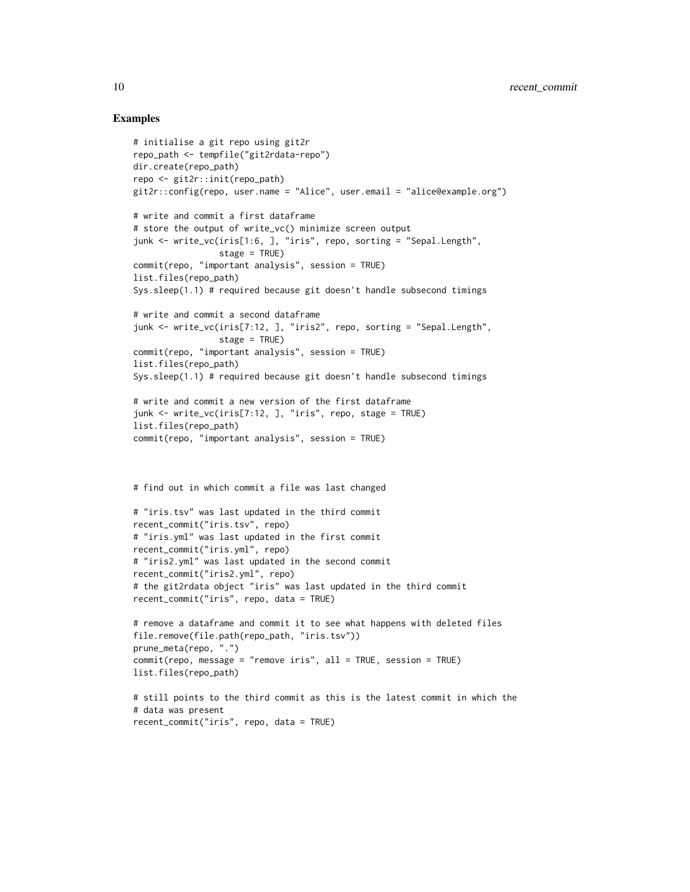```
# initialise a git repo using git2r
repo_path <- tempfile("git2rdata-repo")
dir.create(repo_path)
repo <- git2r::init(repo_path)
git2r::config(repo, user.name = "Alice", user.email = "alice@example.org")
# write and commit a first dataframe
# store the output of write_vc() minimize screen output
junk <- write_vc(iris[1:6, ], "iris", repo, sorting = "Sepal.Length",
                 stage = TRUE)
commit(repo, "important analysis", session = TRUE)
list.files(repo_path)
Sys.sleep(1.1) # required because git doesn't handle subsecond timings
# write and commit a second dataframe
junk <- write_vc(iris[7:12, ], "iris2", repo, sorting = "Sepal.Length",
                 stage = TRUE)
commit(repo, "important analysis", session = TRUE)
list.files(repo_path)
Sys.sleep(1.1) # required because git doesn't handle subsecond timings
# write and commit a new version of the first dataframe
junk <- write_vc(iris[7:12, ], "iris", repo, stage = TRUE)
list.files(repo_path)
commit(repo, "important analysis", session = TRUE)
# find out in which commit a file was last changed
# "iris.tsv" was last updated in the third commit
recent_commit("iris.tsv", repo)
# "iris.yml" was last updated in the first commit
recent_commit("iris.yml", repo)
# "iris2.yml" was last updated in the second commit
recent_commit("iris2.yml", repo)
# the git2rdata object "iris" was last updated in the third commit
recent_commit("iris", repo, data = TRUE)
# remove a dataframe and commit it to see what happens with deleted files
file.remove(file.path(repo_path, "iris.tsv"))
prune_meta(repo, ".")
commit(repo, message = "remove iris", all = TRUE, session = TRUE)
list.files(repo_path)
# still points to the third commit as this is the latest commit in which the
# data was present
recent_commit("iris", repo, data = TRUE)
```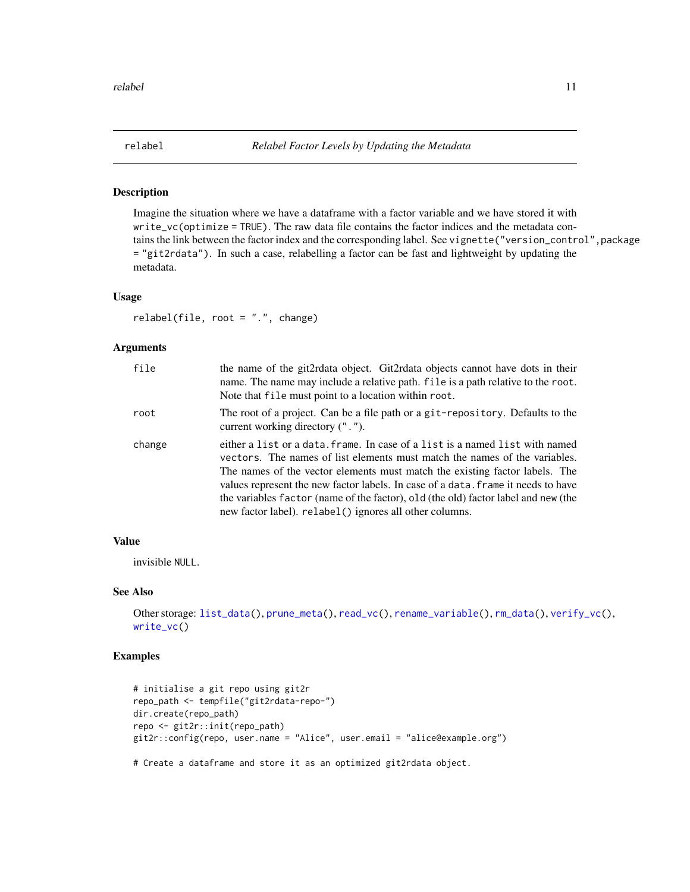<span id="page-10-1"></span><span id="page-10-0"></span>

Imagine the situation where we have a dataframe with a factor variable and we have stored it with write\_vc(optimize = TRUE). The raw data file contains the factor indices and the metadata contains the link between the factor index and the corresponding label. See vignette("version\_control", package = "git2rdata"). In such a case, relabelling a factor can be fast and lightweight by updating the metadata.

#### Usage

relabel(file, root = ".", change)

#### Arguments

| file   | the name of the git2rdata object. Git2rdata objects cannot have dots in their<br>name. The name may include a relative path. file is a path relative to the root.<br>Note that file must point to a location within root.                                                                                                                                                                                                                                                        |
|--------|----------------------------------------------------------------------------------------------------------------------------------------------------------------------------------------------------------------------------------------------------------------------------------------------------------------------------------------------------------------------------------------------------------------------------------------------------------------------------------|
| root   | The root of a project. Can be a file path or a git-repository. Defaults to the<br>current working directory (".").                                                                                                                                                                                                                                                                                                                                                               |
| change | either a list or a data. frame. In case of a list is a named list with named<br>vectors. The names of list elements must match the names of the variables.<br>The names of the vector elements must match the existing factor labels. The<br>values represent the new factor labels. In case of a data. frame it needs to have<br>the variables factor (name of the factor), old (the old) factor label and new (the<br>new factor label). relabel () ignores all other columns. |

#### Value

invisible NULL.

#### See Also

```
Other storage: list_data(), prune_meta(), read_vc(), rename_variable(), rm_data(), verify_vc(),
write_vc()
```
#### Examples

```
# initialise a git repo using git2r
repo_path <- tempfile("git2rdata-repo-")
dir.create(repo_path)
repo <- git2r::init(repo_path)
git2r::config(repo, user.name = "Alice", user.email = "alice@example.org")
```
# Create a dataframe and store it as an optimized git2rdata object.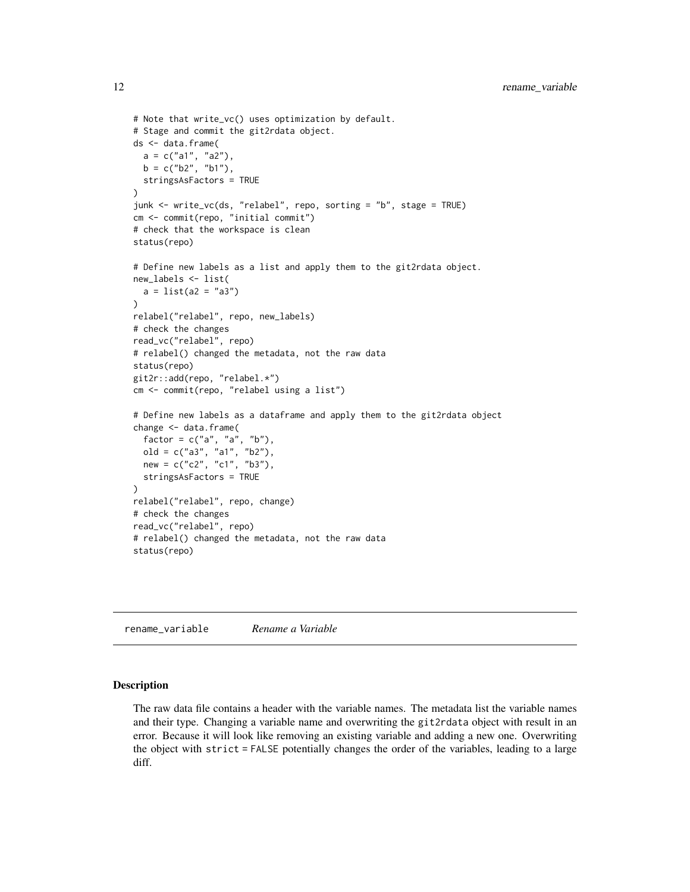```
# Note that write_vc() uses optimization by default.
# Stage and commit the git2rdata object.
ds <- data.frame(
 a = c("a1", "a2"),b = c("b2", "b1"),
  stringsAsFactors = TRUE
\lambdajunk <- write_vc(ds, "relabel", repo, sorting = "b", stage = TRUE)
cm <- commit(repo, "initial commit")
# check that the workspace is clean
status(repo)
# Define new labels as a list and apply them to the git2rdata object.
new_labels <- list(
  a = list(a2 = "a3"))
relabel("relabel", repo, new_labels)
# check the changes
read_vc("relabel", repo)
# relabel() changed the metadata, not the raw data
status(repo)
git2r::add(repo, "relabel.*")
cm <- commit(repo, "relabel using a list")
# Define new labels as a dataframe and apply them to the git2rdata object
change <- data.frame(
  factor = c("a", "a", "b"),
  old = c("a3", "a1", "b2"),
  new = c("c2", "c1", "b3"),
  stringsAsFactors = TRUE
)
relabel("relabel", repo, change)
# check the changes
read_vc("relabel", repo)
# relabel() changed the metadata, not the raw data
status(repo)
```
<span id="page-11-1"></span>rename\_variable *Rename a Variable*

#### Description

The raw data file contains a header with the variable names. The metadata list the variable names and their type. Changing a variable name and overwriting the git2rdata object with result in an error. Because it will look like removing an existing variable and adding a new one. Overwriting the object with strict = FALSE potentially changes the order of the variables, leading to a large diff.

<span id="page-11-0"></span>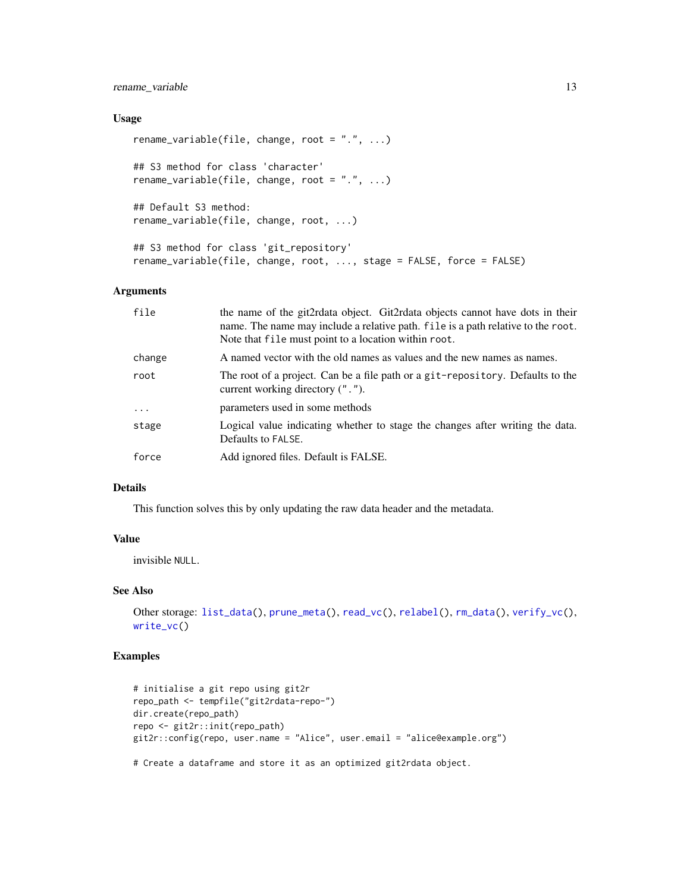#### <span id="page-12-0"></span>rename\_variable 13

#### Usage

```
rename_variable(file, change, root = ".", ...)
## S3 method for class 'character'
rename_variable(file, change, root = ".", ...)
## Default S3 method:
rename_variable(file, change, root, ...)
## S3 method for class 'git_repository'
rename_variable(file, change, root, ..., stage = FALSE, force = FALSE)
```
#### Arguments

| file     | the name of the git2rdata object. Git2rdata objects cannot have dots in their<br>name. The name may include a relative path. file is a path relative to the root.<br>Note that file must point to a location within root. |
|----------|---------------------------------------------------------------------------------------------------------------------------------------------------------------------------------------------------------------------------|
| change   | A named vector with the old names as values and the new names as names.                                                                                                                                                   |
| root     | The root of a project. Can be a file path or a git-repository. Defaults to the<br>current working directory (".").                                                                                                        |
| $\ddots$ | parameters used in some methods                                                                                                                                                                                           |
| stage    | Logical value indicating whether to stage the changes after writing the data.<br>Defaults to FALSE.                                                                                                                       |
| force    | Add ignored files. Default is FALSE.                                                                                                                                                                                      |

#### Details

This function solves this by only updating the raw data header and the metadata.

#### Value

invisible NULL.

#### See Also

```
Other storage: list_data(), prune_meta(), read_vc(), relabel(), rm_data(), verify_vc(),
write_vc()
```
#### Examples

```
# initialise a git repo using git2r
repo_path <- tempfile("git2rdata-repo-")
dir.create(repo_path)
repo <- git2r::init(repo_path)
git2r::config(repo, user.name = "Alice", user.email = "alice@example.org")
```
# Create a dataframe and store it as an optimized git2rdata object.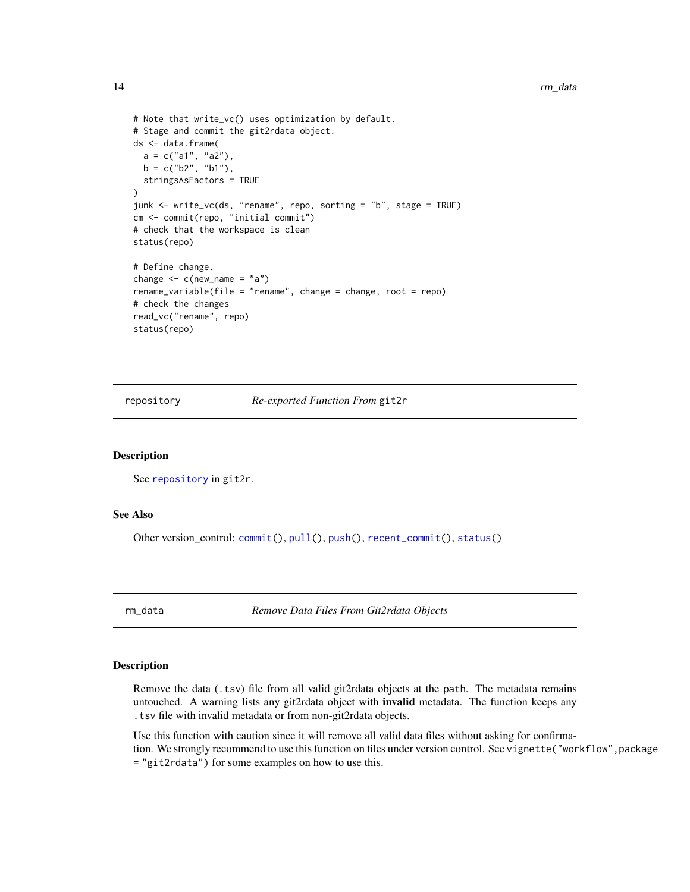```
# Note that write_vc() uses optimization by default.
# Stage and commit the git2rdata object.
ds <- data.frame(
  a = c("a1", "a2"),b = c("b2", "b1"),
  stringsAsFactors = TRUE
)
junk <- write_vc(ds, "rename", repo, sorting = "b", stage = TRUE)
cm <- commit(repo, "initial commit")
# check that the workspace is clean
status(repo)
# Define change.
change \leq c(new_name = "a")
rename_variable(file = "rename", change = change, root = repo)
# check the changes
read_vc("rename", repo)
status(repo)
```
<span id="page-13-1"></span>repository *Re-exported Function From* git2r

#### Description

See [repository](#page-13-1) in git2r.

#### See Also

Other version\_control: [commit\(](#page-1-1)), [pull\(](#page-6-1)), [push\(](#page-6-2)), [recent\\_commit\(](#page-8-1)), [status\(](#page-16-1))

<span id="page-13-2"></span>rm\_data *Remove Data Files From Git2rdata Objects*

#### Description

Remove the data (.tsv) file from all valid git2rdata objects at the path. The metadata remains untouched. A warning lists any git2rdata object with **invalid** metadata. The function keeps any .tsv file with invalid metadata or from non-git2rdata objects.

Use this function with caution since it will remove all valid data files without asking for confirmation. We strongly recommend to use this function on files under version control. See vignette("workflow", package = "git2rdata") for some examples on how to use this.

<span id="page-13-0"></span>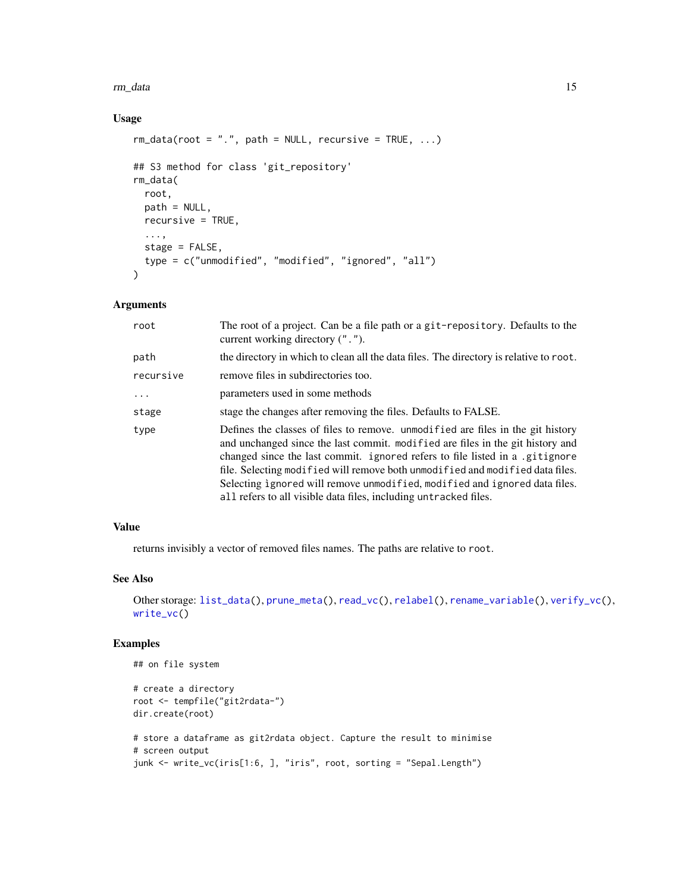#### <span id="page-14-0"></span>rm\_data 15

#### Usage

```
rm\_data(root = ".", path = NULL, recursively = TRUE, ...)
## S3 method for class 'git_repository'
rm_data(
 root,
 path = NULL,
 recursive = TRUE,
  ...,
 stage = FALSE,
  type = c("unmodified", "modified", "ignored", "all")
\mathcal{L}
```
#### Arguments

| root      | The root of a project. Can be a file path or a git-repository. Defaults to the<br>current working directory (".").                                                                                                                                                                                                                                                                                                                                                                   |
|-----------|--------------------------------------------------------------------------------------------------------------------------------------------------------------------------------------------------------------------------------------------------------------------------------------------------------------------------------------------------------------------------------------------------------------------------------------------------------------------------------------|
| path      | the directory in which to clean all the data files. The directory is relative to root.                                                                                                                                                                                                                                                                                                                                                                                               |
| recursive | remove files in subdirectories too.                                                                                                                                                                                                                                                                                                                                                                                                                                                  |
| $\ddots$  | parameters used in some methods                                                                                                                                                                                                                                                                                                                                                                                                                                                      |
| stage     | stage the changes after removing the files. Defaults to FALSE.                                                                                                                                                                                                                                                                                                                                                                                                                       |
| type      | Defines the classes of files to remove. unmodified are files in the git history<br>and unchanged since the last commit. modified are files in the git history and<br>changed since the last commit. ignored refers to file listed in a .gitignore<br>file. Selecting modified will remove both unmodified and modified data files.<br>Selecting ignored will remove unmodified, modified and ignored data files.<br>all refers to all visible data files, including untracked files. |

### Value

returns invisibly a vector of removed files names. The paths are relative to root.

#### See Also

```
Other storage: list_data(), prune_meta(), read_vc(), relabel(), rename_variable(), verify_vc(),
write_vc()
```

```
## on file system
# create a directory
root <- tempfile("git2rdata-")
dir.create(root)
# store a dataframe as git2rdata object. Capture the result to minimise
# screen output
junk <- write_vc(iris[1:6, ], "iris", root, sorting = "Sepal.Length")
```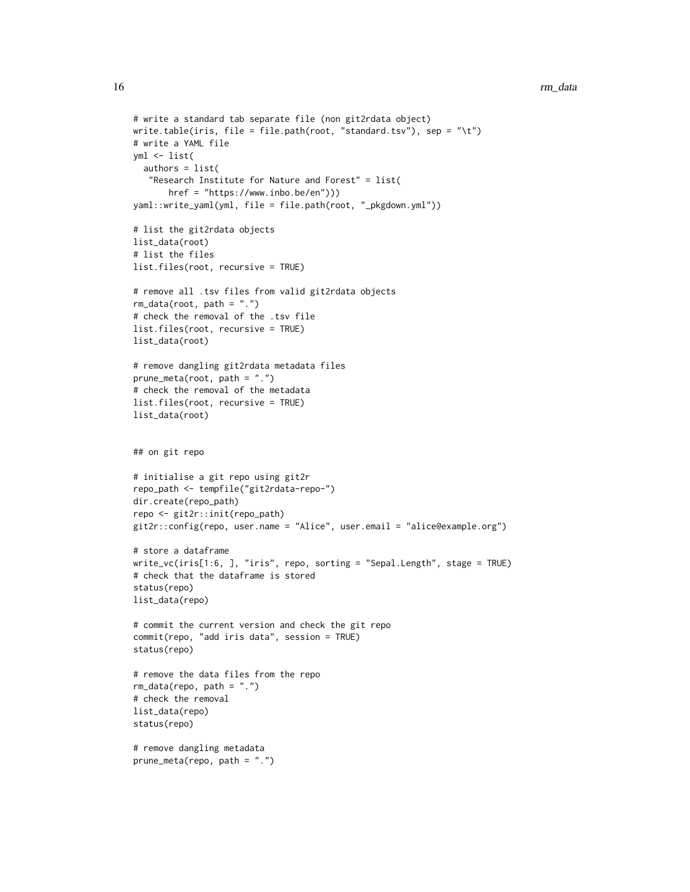```
# write a standard tab separate file (non git2rdata object)
write.table(iris, file = file.path(root, "standard.tsv"), sep = "\t")
# write a YAML file
yml <- list(
  authors = list(
   "Research Institute for Nature and Forest" = list(
      href = "https://www.inbo.be/en")))
yaml::write_yaml(yml, file = file.path(root, "_pkgdown.yml"))
# list the git2rdata objects
list_data(root)
# list the files
list.files(root, recursive = TRUE)
# remove all .tsv files from valid git2rdata objects
rm_data(root, path = ".")
# check the removal of the .tsv file
list.files(root, recursive = TRUE)
list_data(root)
# remove dangling git2rdata metadata files
prune_meta(root, path = ".")
# check the removal of the metadata
list.files(root, recursive = TRUE)
list_data(root)
## on git repo
# initialise a git repo using git2r
repo_path <- tempfile("git2rdata-repo-")
dir.create(repo_path)
repo <- git2r::init(repo_path)
git2r::config(repo, user.name = "Alice", user.email = "alice@example.org")
# store a dataframe
write_vc(iris[1:6, ], "iris", repo, sorting = "Sepal.Length", stage = TRUE)
# check that the dataframe is stored
status(repo)
list_data(repo)
# commit the current version and check the git repo
commit(repo, "add iris data", session = TRUE)
status(repo)
# remove the data files from the repo
rm_data(repo, path = ".")
# check the removal
list_data(repo)
status(repo)
# remove dangling metadata
prune_meta(repo, path = ".")
```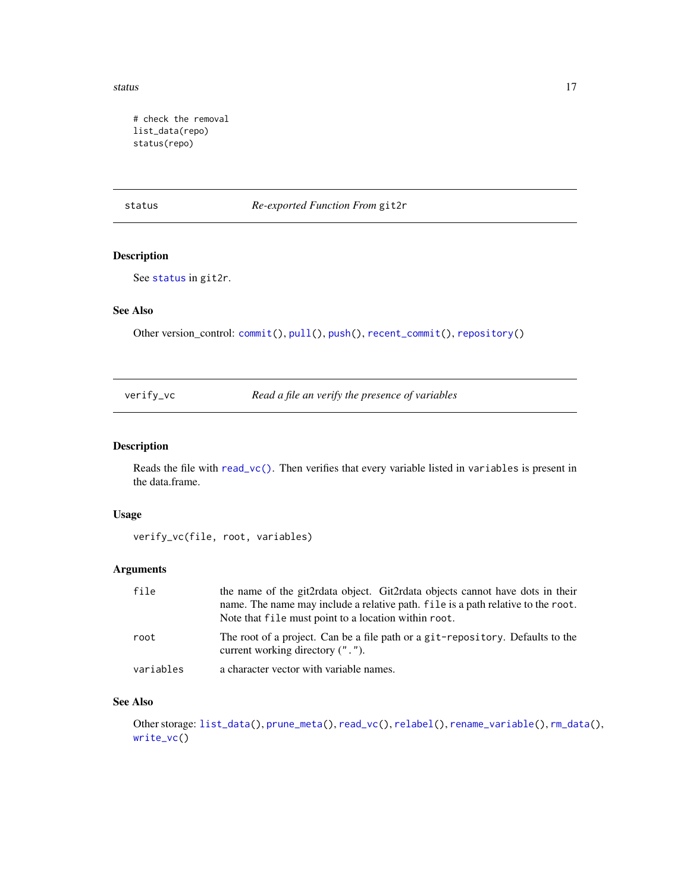<span id="page-16-0"></span>status and the status of the status of the status of the status of the status of the status of the status of the status of the status of the status of the status of the status of the status of the status of the status of t

# check the removal list\_data(repo) status(repo)

<span id="page-16-1"></span>status *Re-exported Function From* git2r

#### Description

See [status](#page-16-1) in git2r.

#### See Also

Other version\_control: [commit\(](#page-1-1)), [pull\(](#page-6-1)), [push\(](#page-6-2)), [recent\\_commit\(](#page-8-1)), [repository\(](#page-13-1))

<span id="page-16-2"></span>

| verify_vc | Read a file an verify the presence of variables |  |
|-----------|-------------------------------------------------|--|
|           |                                                 |  |

#### Description

Reads the file with [read\\_vc\(\)](#page-6-3). Then verifies that every variable listed in variables is present in the data.frame.

#### Usage

```
verify_vc(file, root, variables)
```
#### Arguments

| file      | the name of the git2rdata object. Git2rdata objects cannot have dots in their<br>name. The name may include a relative path. file is a path relative to the root.<br>Note that file must point to a location within root. |
|-----------|---------------------------------------------------------------------------------------------------------------------------------------------------------------------------------------------------------------------------|
| root      | The root of a project. Can be a file path or a git-repository. Defaults to the<br>current working directory (",").                                                                                                        |
| variables | a character vector with variable names.                                                                                                                                                                                   |

#### See Also

Other storage: [list\\_data\(](#page-2-1)), [prune\\_meta\(](#page-3-1)), [read\\_vc\(](#page-6-3)), [relabel\(](#page-10-1)), [rename\\_variable\(](#page-11-1)), [rm\\_data\(](#page-13-2)), [write\\_vc\(](#page-17-1))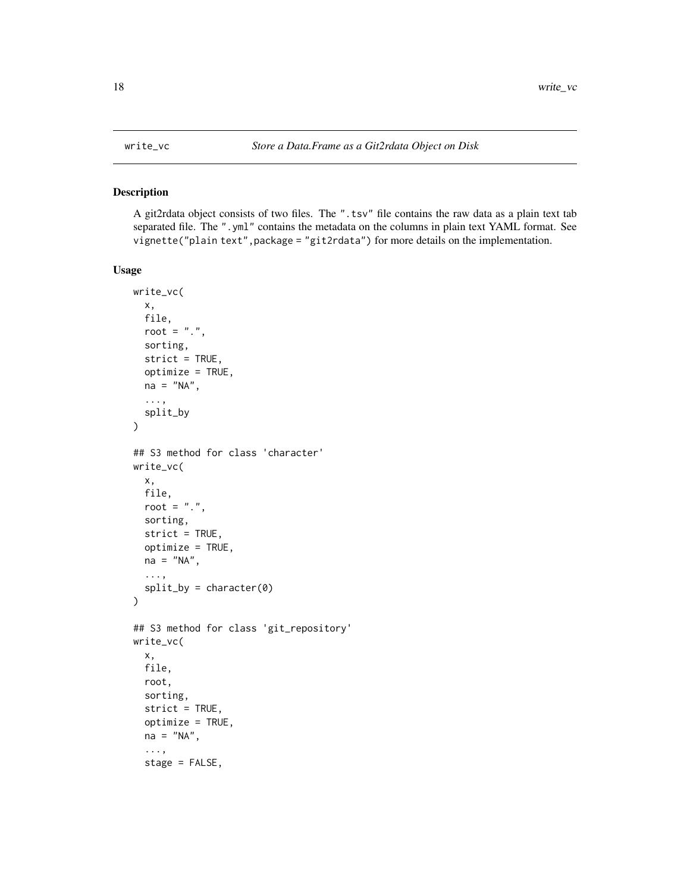A git2rdata object consists of two files. The ".tsv" file contains the raw data as a plain text tab separated file. The ".yml" contains the metadata on the columns in plain text YAML format. See vignette("plain text",package = "git2rdata") for more details on the implementation.

#### Usage

```
write_vc(
  x,
  file,
  root = ".'',sorting,
  strict = TRUE,
  optimize = TRUE,
 na = "NA",...,
  split_by
)
## S3 method for class 'character'
write_vc(
 x,
  file,
  root = ".",
  sorting,
  strict = TRUE,
  optimize = TRUE,
  na = "NA",...,
  split_by = character(0))
## S3 method for class 'git_repository'
write_vc(
  x,
  file,
  root,
  sorting,
  strict = TRUE,
  optimize = TRUE,
  na = "NA",...,
  stage = FALSE,
```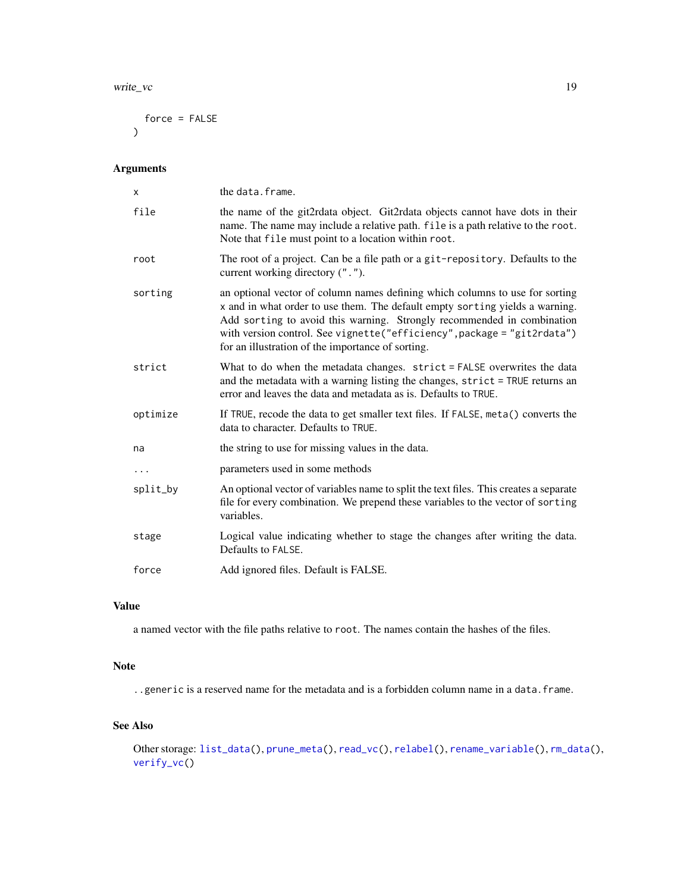#### <span id="page-18-0"></span>write\_vc 19

force = FALSE  $\lambda$ 

#### Arguments

| X        | the data.frame.                                                                                                                                                                                                                                                                                                                                                        |
|----------|------------------------------------------------------------------------------------------------------------------------------------------------------------------------------------------------------------------------------------------------------------------------------------------------------------------------------------------------------------------------|
| file     | the name of the git2rdata object. Git2rdata objects cannot have dots in their<br>name. The name may include a relative path. file is a path relative to the root.<br>Note that file must point to a location within root.                                                                                                                                              |
| root     | The root of a project. Can be a file path or a git-repository. Defaults to the<br>current working directory (".").                                                                                                                                                                                                                                                     |
| sorting  | an optional vector of column names defining which columns to use for sorting<br>x and in what order to use them. The default empty sorting yields a warning.<br>Add sorting to avoid this warning. Strongly recommended in combination<br>with version control. See vignette("efficiency", package = "git2rdata")<br>for an illustration of the importance of sorting. |
| strict   | What to do when the metadata changes. strict = FALSE overwrites the data<br>and the metadata with a warning listing the changes, strict = TRUE returns an<br>error and leaves the data and metadata as is. Defaults to TRUE.                                                                                                                                           |
| optimize | If TRUE, recode the data to get smaller text files. If FALSE, meta() converts the<br>data to character. Defaults to TRUE.                                                                                                                                                                                                                                              |
| na       | the string to use for missing values in the data.                                                                                                                                                                                                                                                                                                                      |
| $\cdots$ | parameters used in some methods                                                                                                                                                                                                                                                                                                                                        |
| split_by | An optional vector of variables name to split the text files. This creates a separate<br>file for every combination. We prepend these variables to the vector of sorting<br>variables.                                                                                                                                                                                 |
| stage    | Logical value indicating whether to stage the changes after writing the data.<br>Defaults to FALSE.                                                                                                                                                                                                                                                                    |
| force    | Add ignored files. Default is FALSE.                                                                                                                                                                                                                                                                                                                                   |

#### Value

a named vector with the file paths relative to root. The names contain the hashes of the files.

#### Note

..generic is a reserved name for the metadata and is a forbidden column name in a data.frame.

#### See Also

```
Other storage: list_data(), prune_meta(), read_vc(), relabel(), rename_variable(), rm_data(),
verify_vc()
```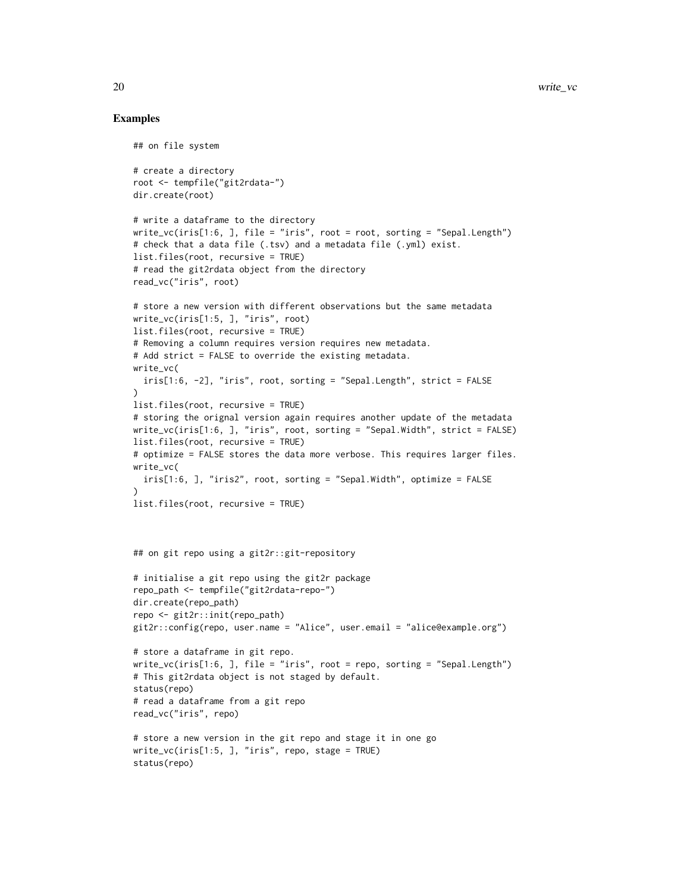```
## on file system
# create a directory
root <- tempfile("git2rdata-")
dir.create(root)
# write a dataframe to the directory
write_vc(iris[1:6, ], file = "iris", root = root, sorting = "Sepal.Length")
# check that a data file (.tsv) and a metadata file (.yml) exist.
list.files(root, recursive = TRUE)
# read the git2rdata object from the directory
read_vc("iris", root)
# store a new version with different observations but the same metadata
write_vc(iris[1:5, ], "iris", root)
list.files(root, recursive = TRUE)
# Removing a column requires version requires new metadata.
# Add strict = FALSE to override the existing metadata.
write_vc(
  iris[1:6, -2], "iris", root, sorting = "Sepal.Length", strict = FALSE
)
list.files(root, recursive = TRUE)
# storing the orignal version again requires another update of the metadata
write_vc(iris[1:6, ], "iris", root, sorting = "Sepal.Width", strict = FALSE)
list.files(root, recursive = TRUE)
# optimize = FALSE stores the data more verbose. This requires larger files.
write_vc(
  iris[1:6,], "iris2", root, sorting = "Sepal.Width", optimize = FALSE)
list.files(root, recursive = TRUE)
## on git repo using a git2r::git-repository
# initialise a git repo using the git2r package
repo_path <- tempfile("git2rdata-repo-")
dir.create(repo_path)
repo <- git2r::init(repo_path)
git2r::config(repo, user.name = "Alice", user.email = "alice@example.org")
# store a dataframe in git repo.
write_vc(iris[1:6, ], file = "iris", root = repo, sorting = "Sepal.Length")
# This git2rdata object is not staged by default.
status(repo)
# read a dataframe from a git repo
read_vc("iris", repo)
# store a new version in the git repo and stage it in one go
write_vc(iris[1:5, ], "iris", repo, stage = TRUE)
status(repo)
```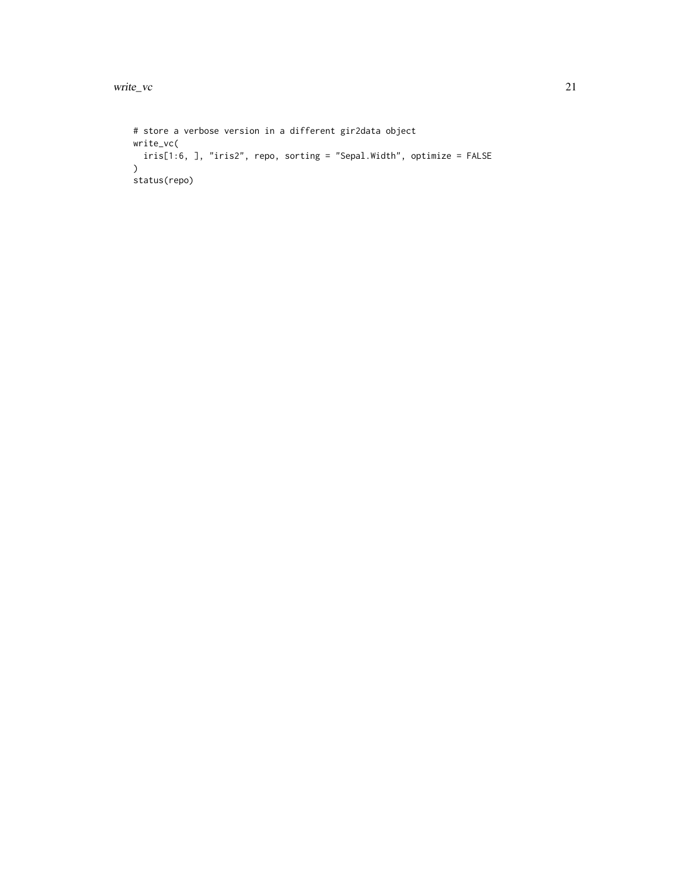```
# store a verbose version in a different gir2data object
write_vc(
iris[1:6, ], "iris2", repo, sorting = "Sepal.Width", optimize = FALSE
\lambdastatus(repo)
```